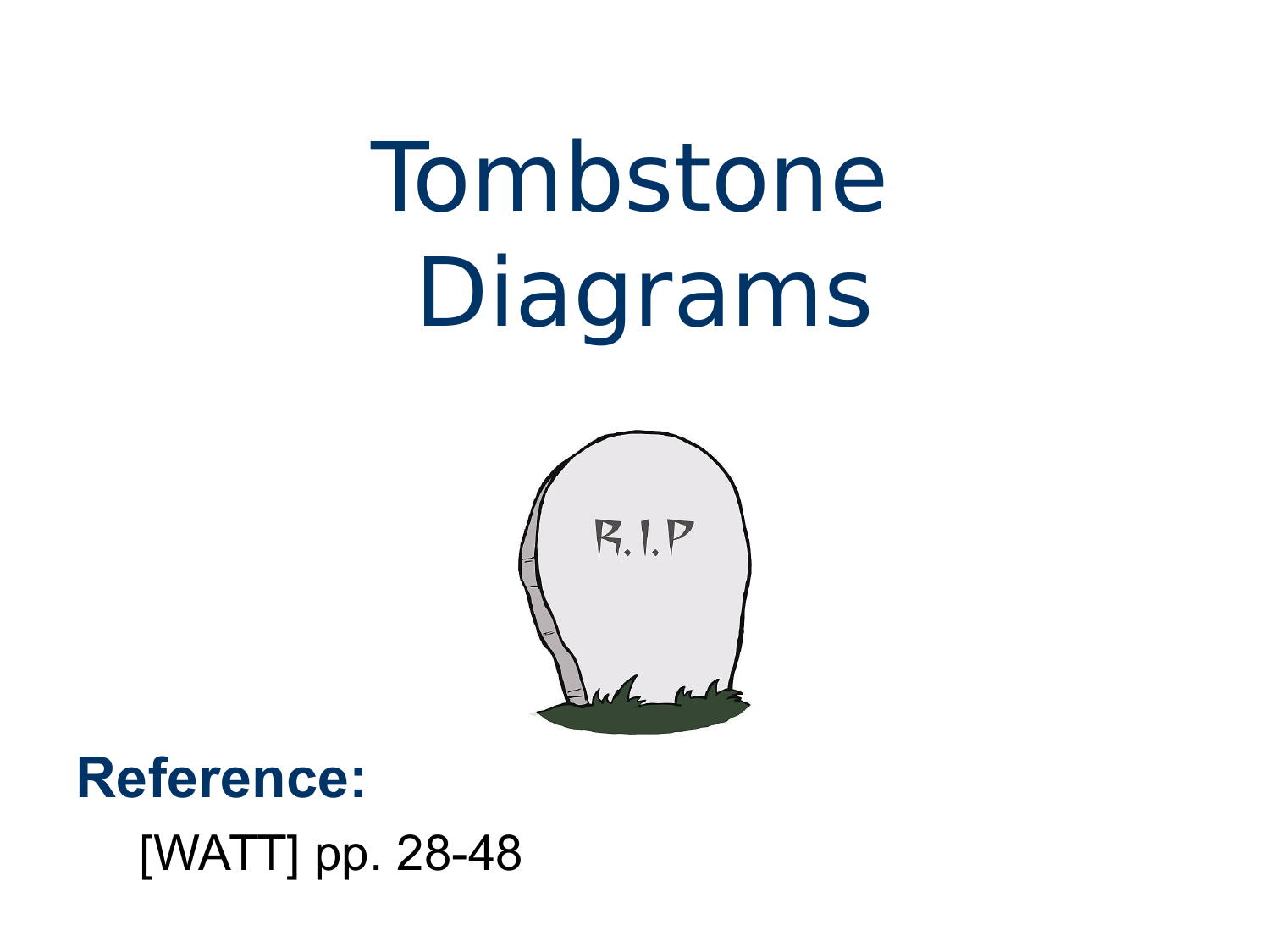# Tombstone Diagrams



#### **Reference:** [WATT] pp. 28-48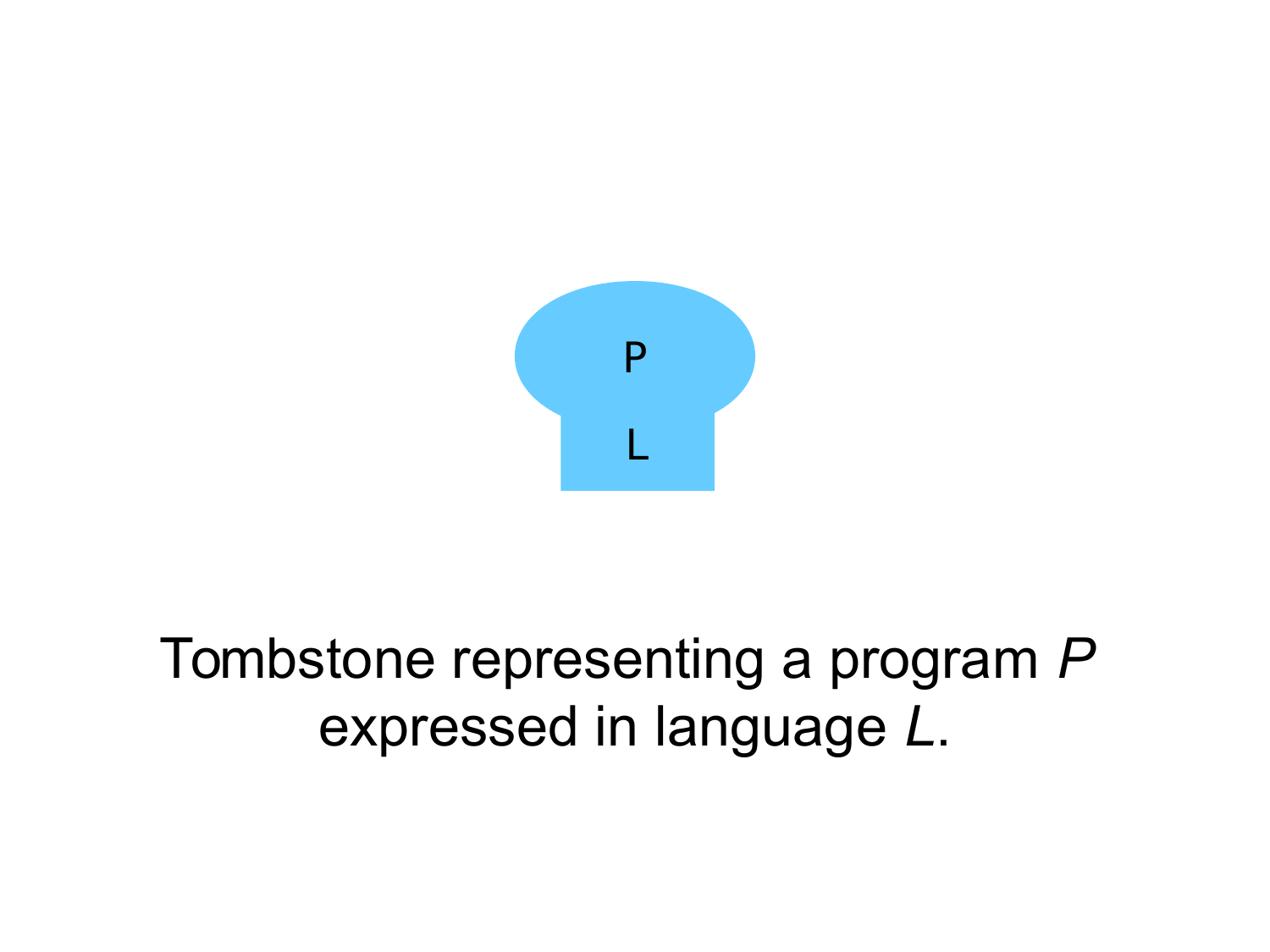

#### Tombstone representing a program *P* expressed in language *L*.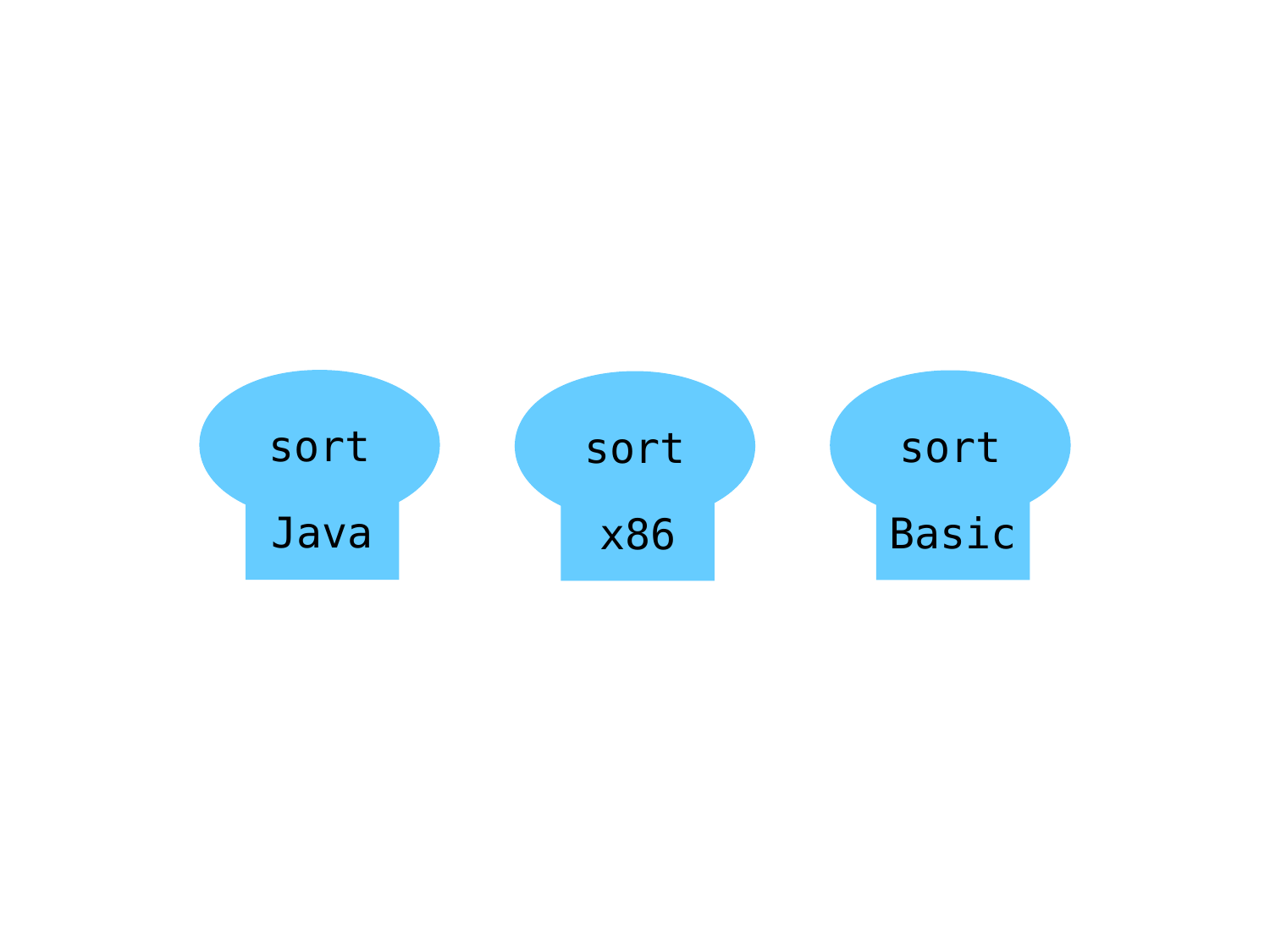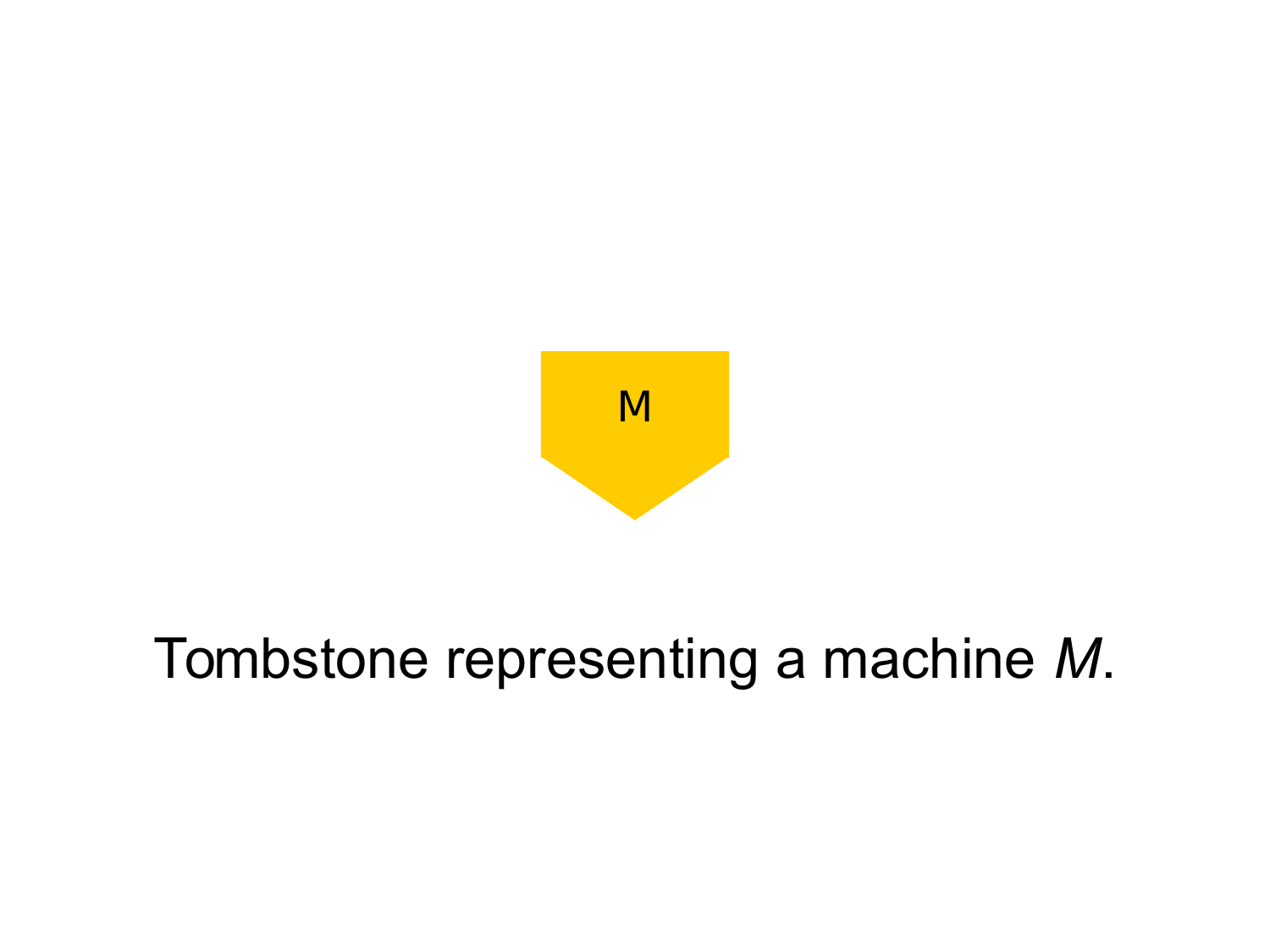

#### Tombstone representing a machine *M*.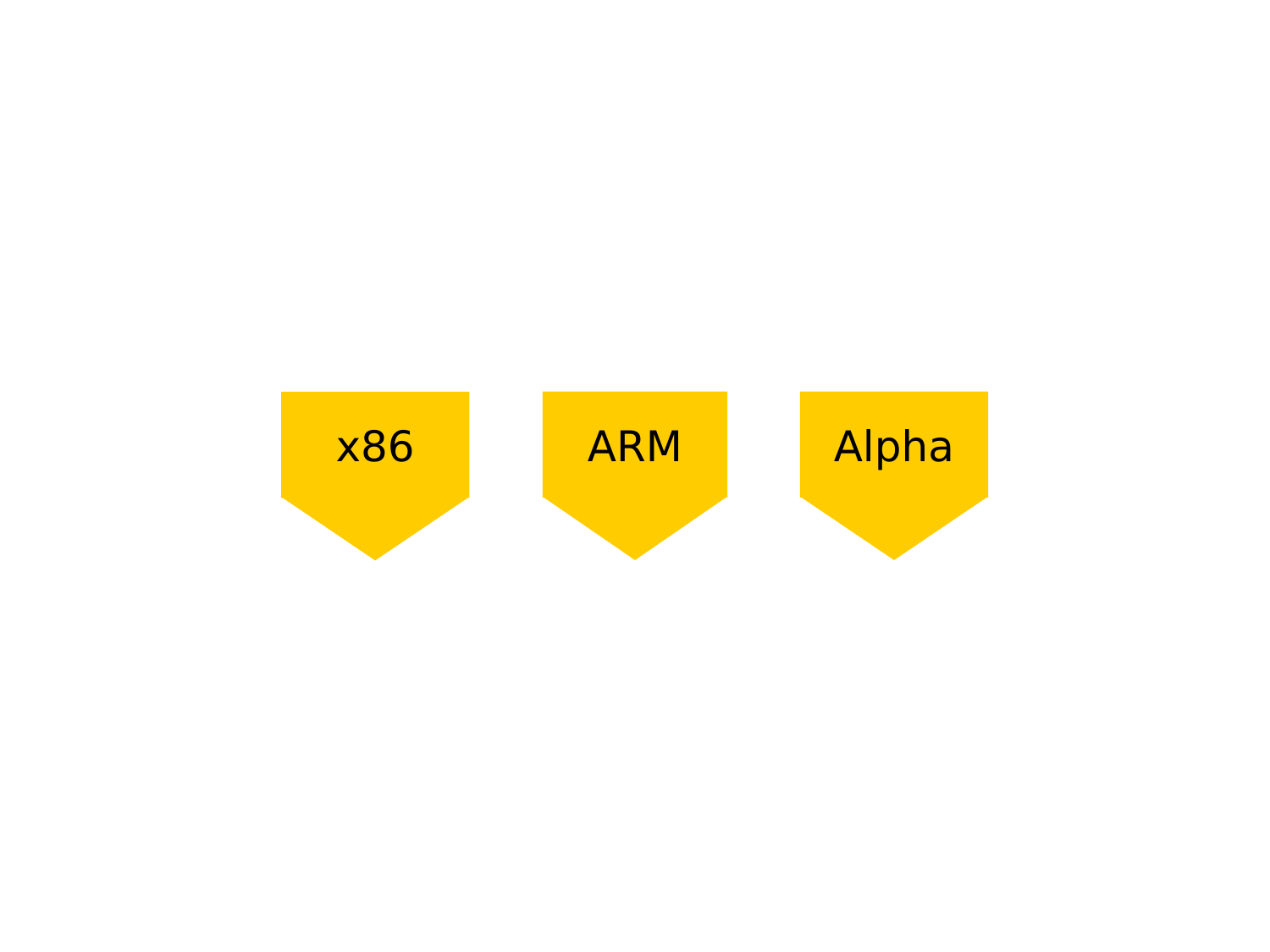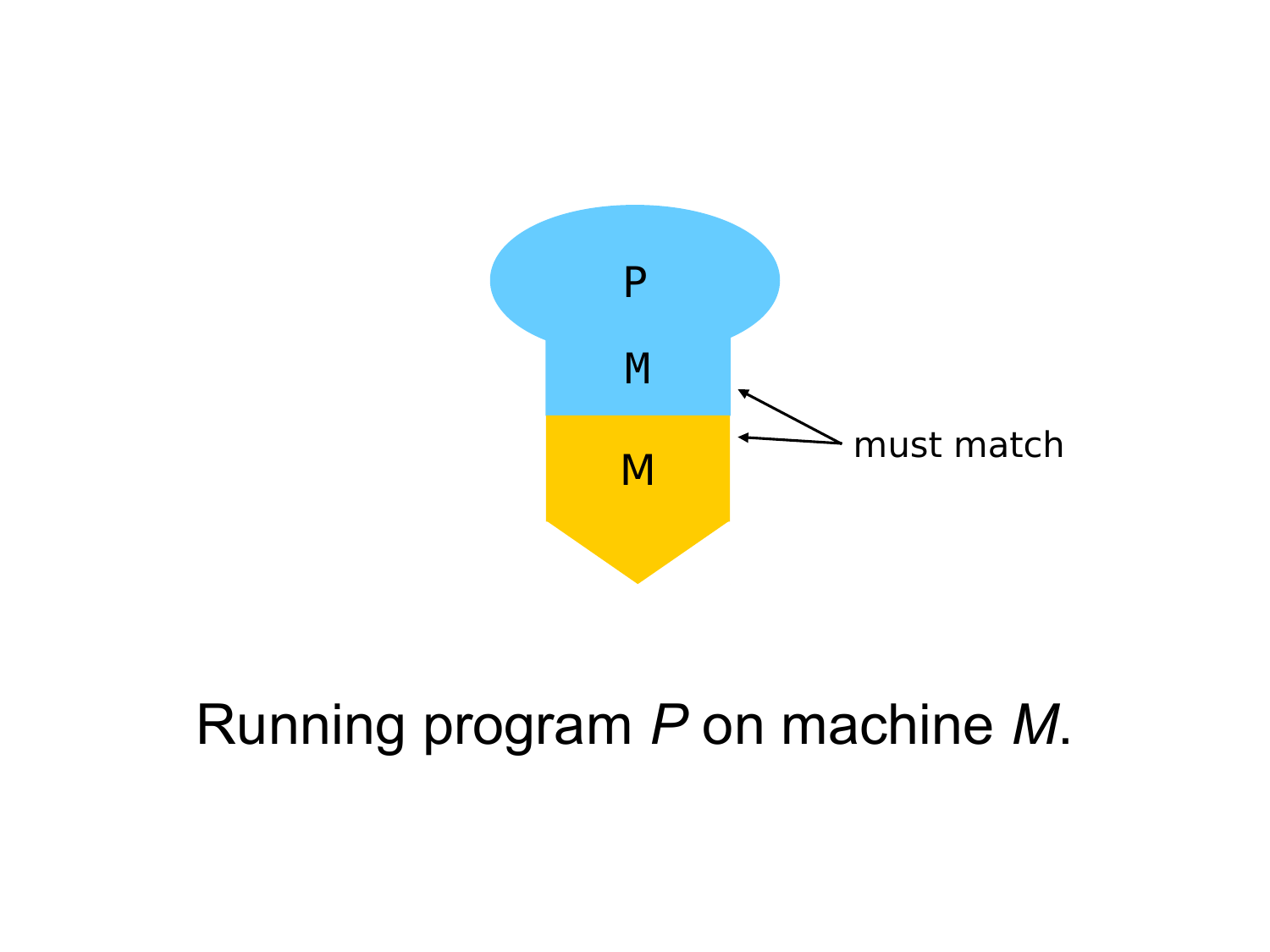

#### Running program *P* on machine *M*.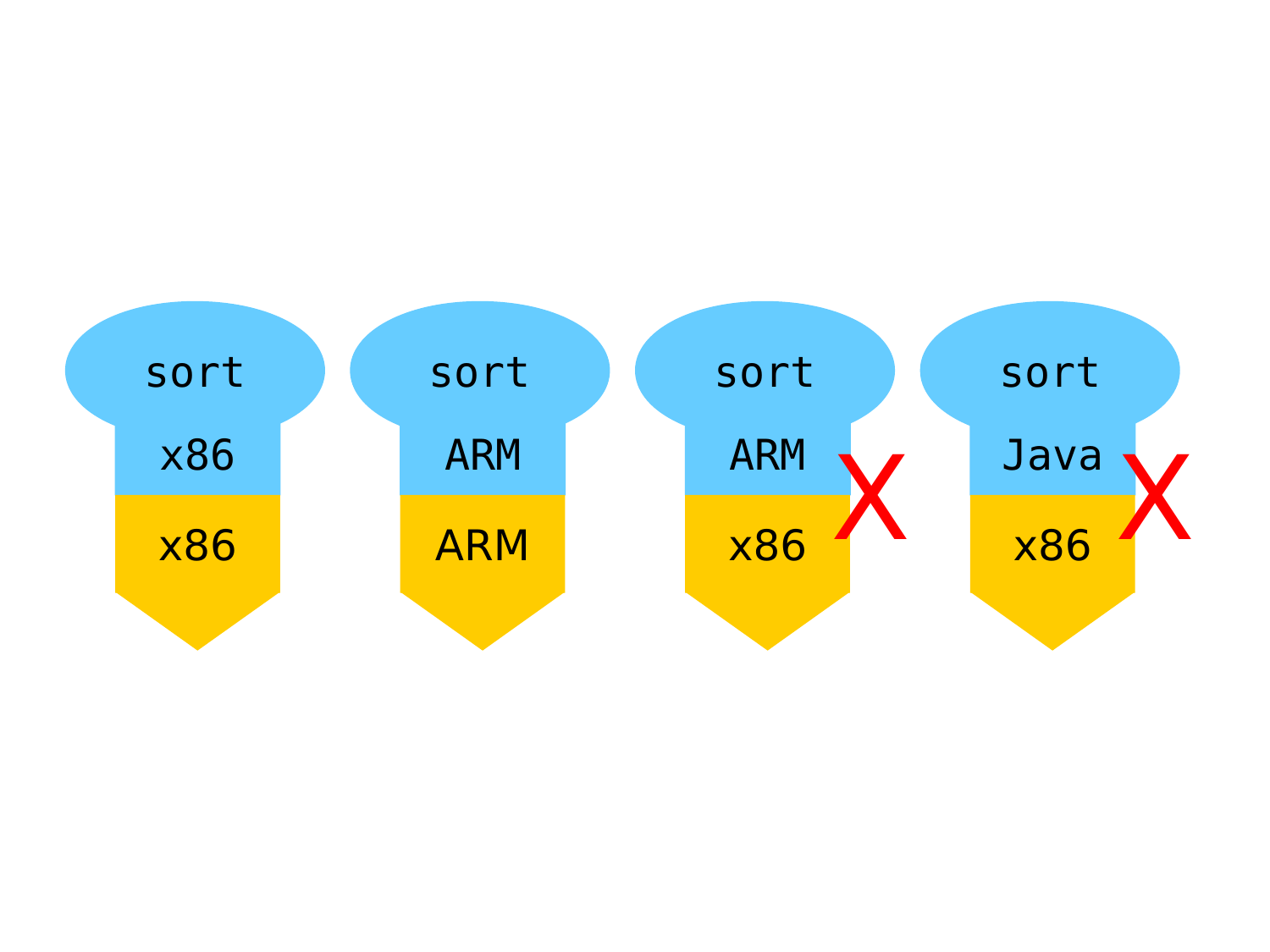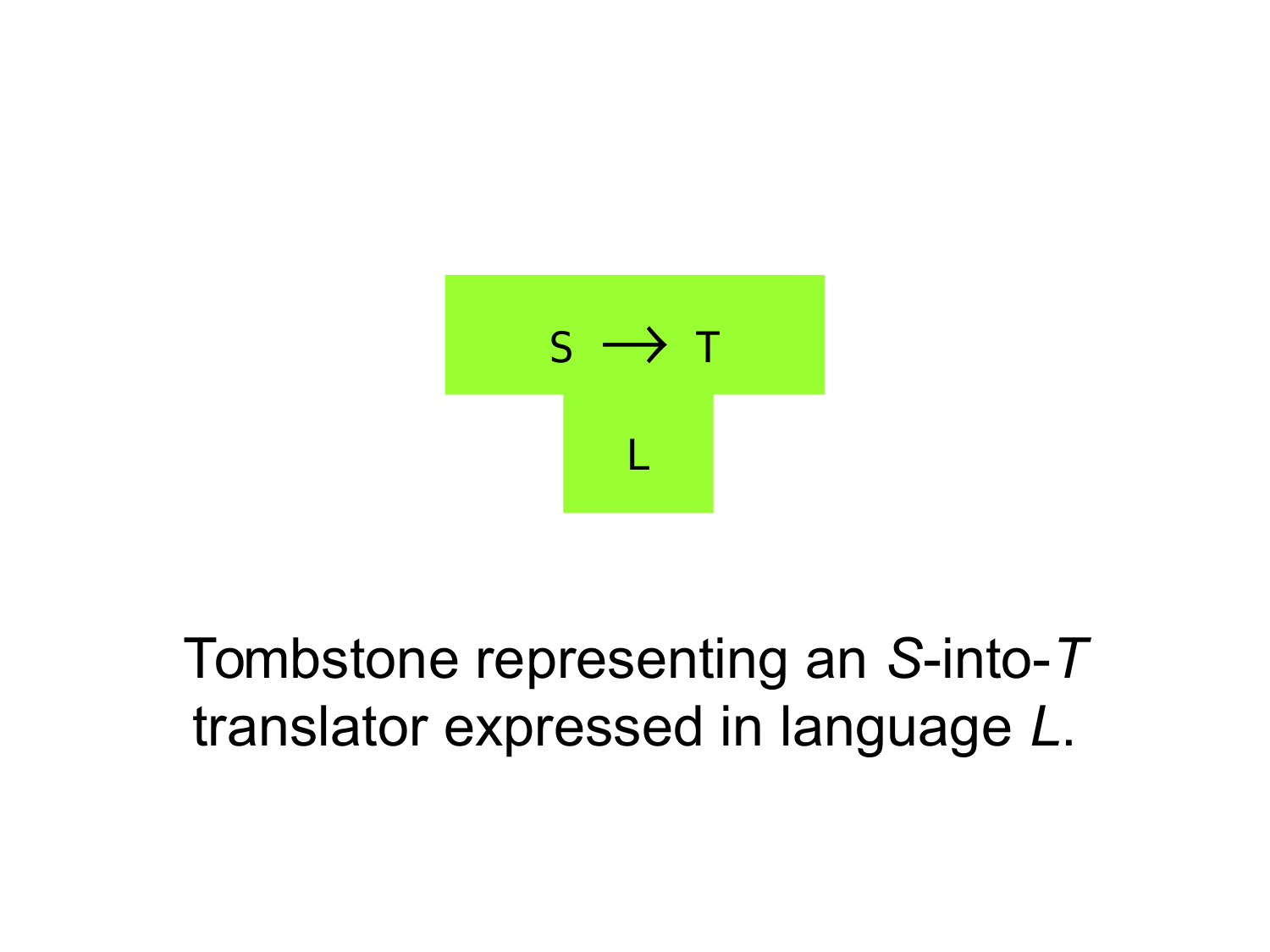

#### Tombstone representing an *S*-into-*T* translator expressed in language *L*.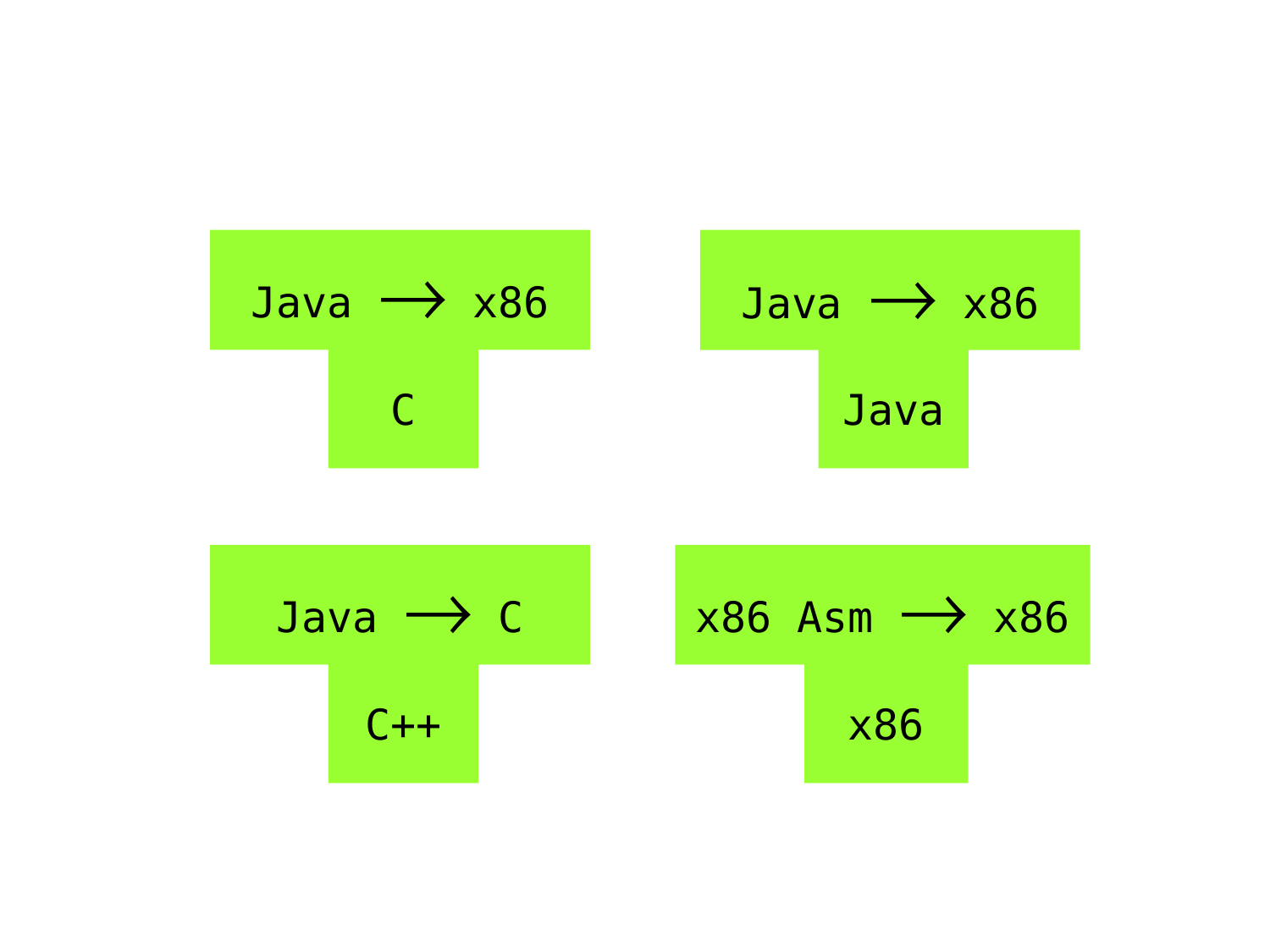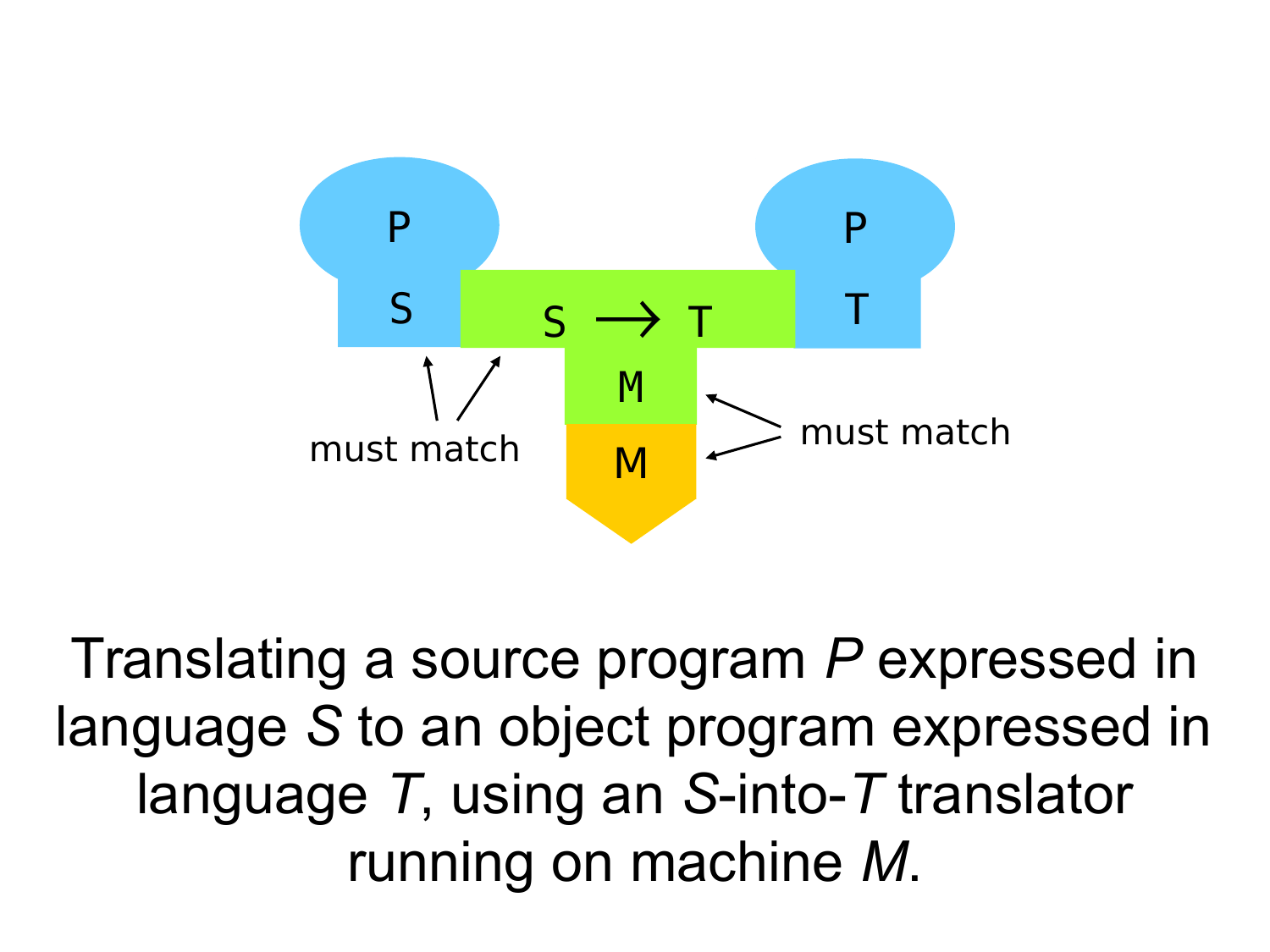

Translating a source program *P* expressed in language *S* to an object program expressed in language *T*, using an *S*-into-*T* translator running on machine *M*.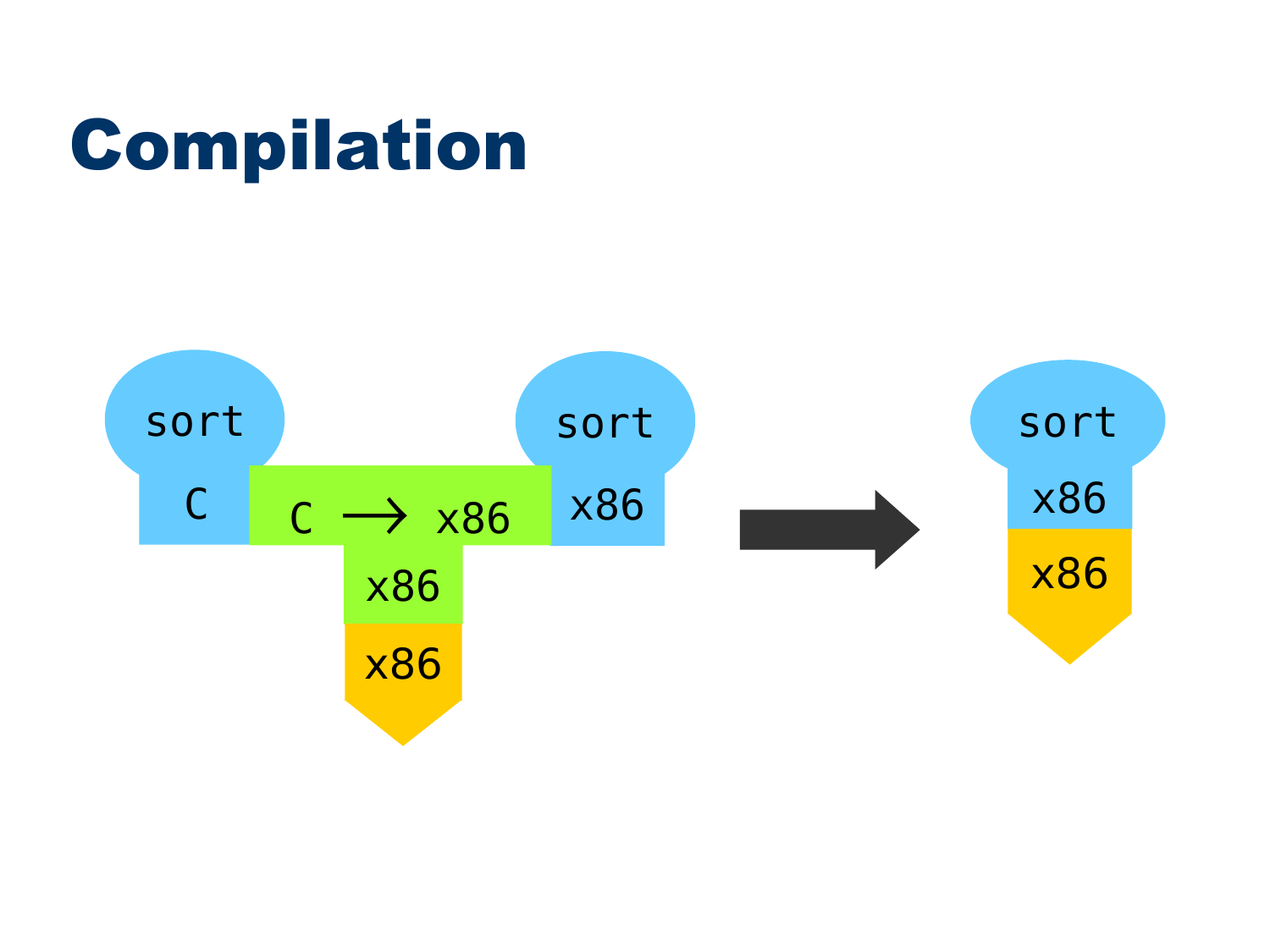# Compilation

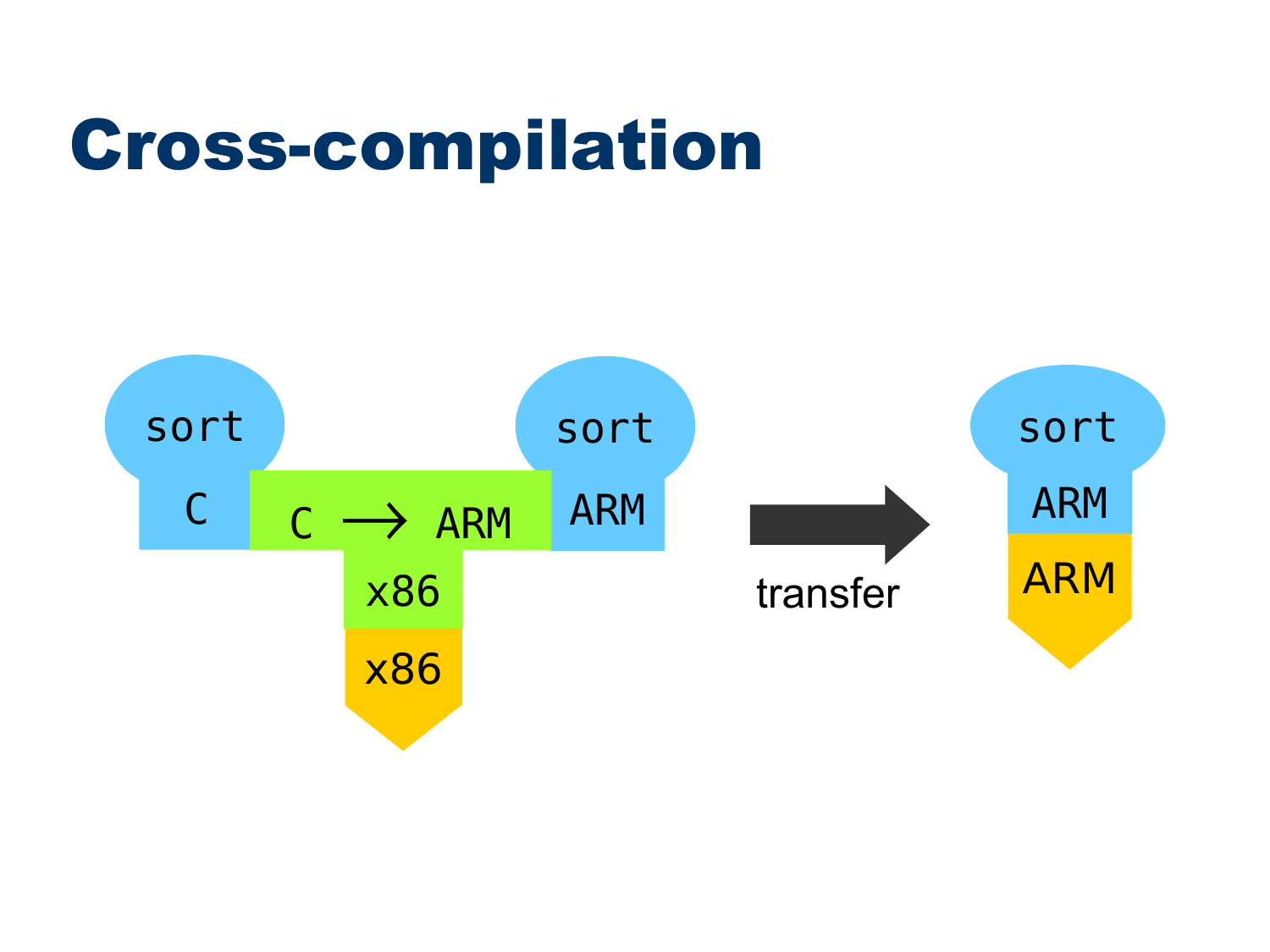## Cross-compilation

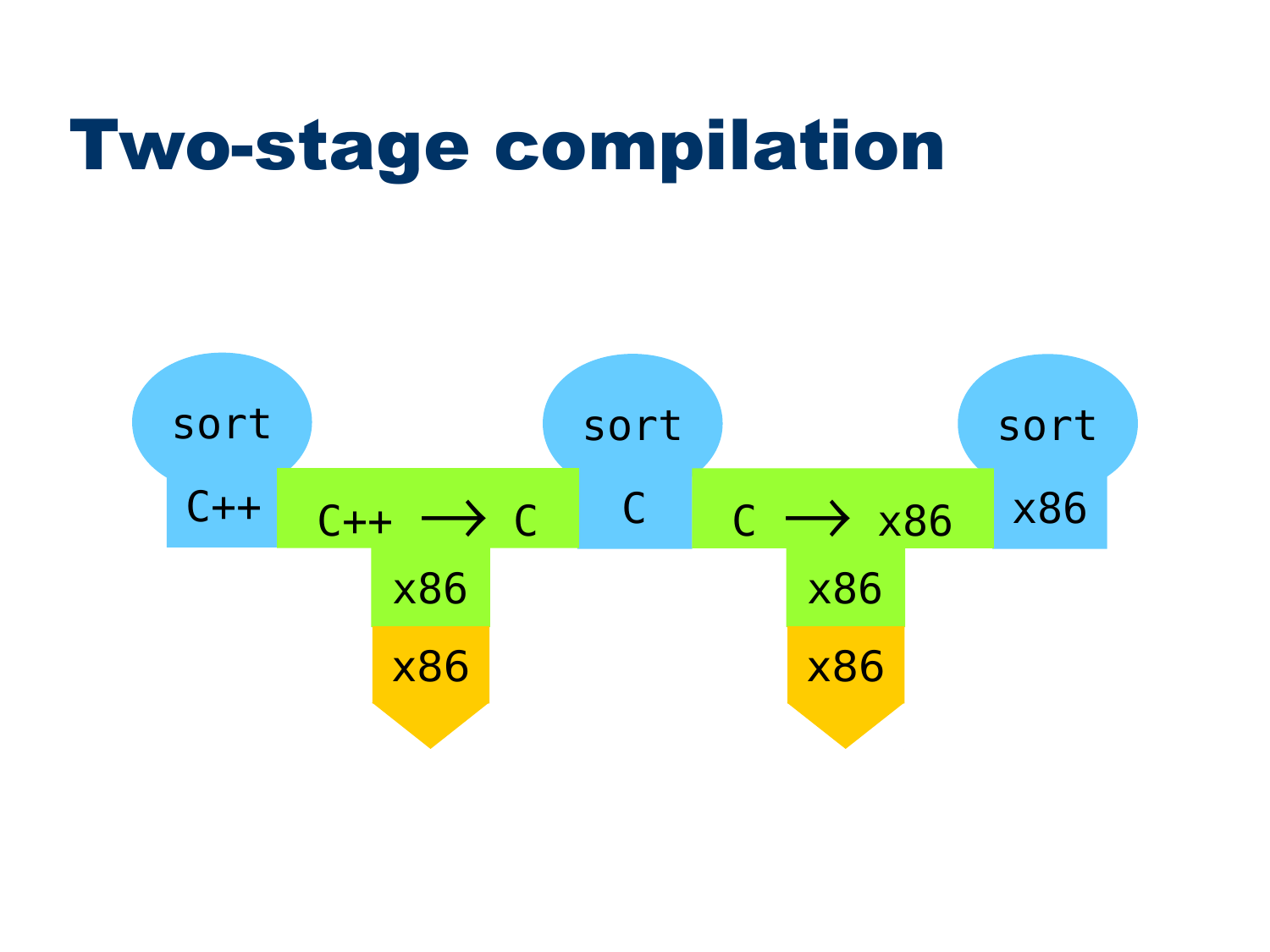## Two-stage compilation

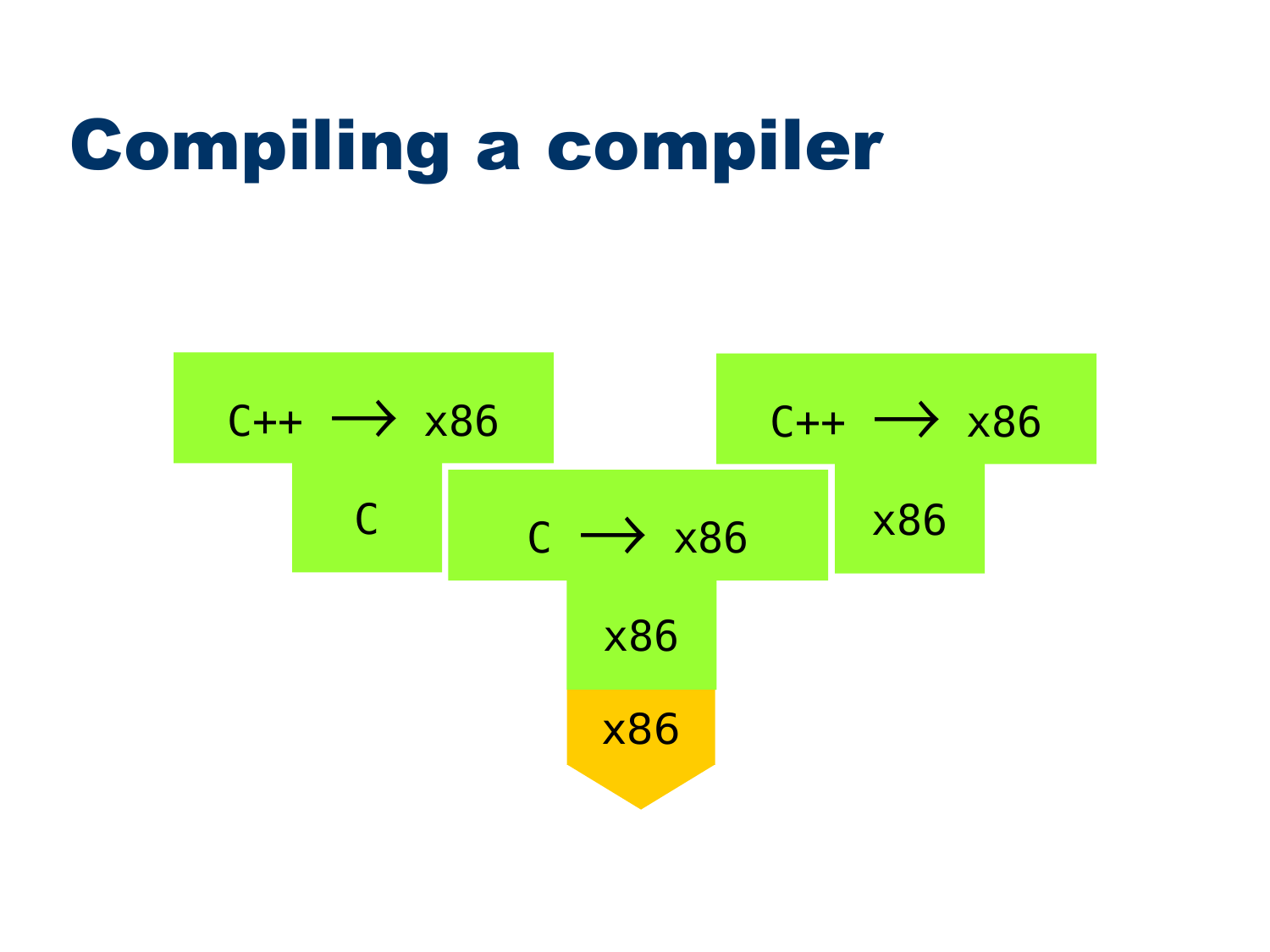## Compiling a compiler

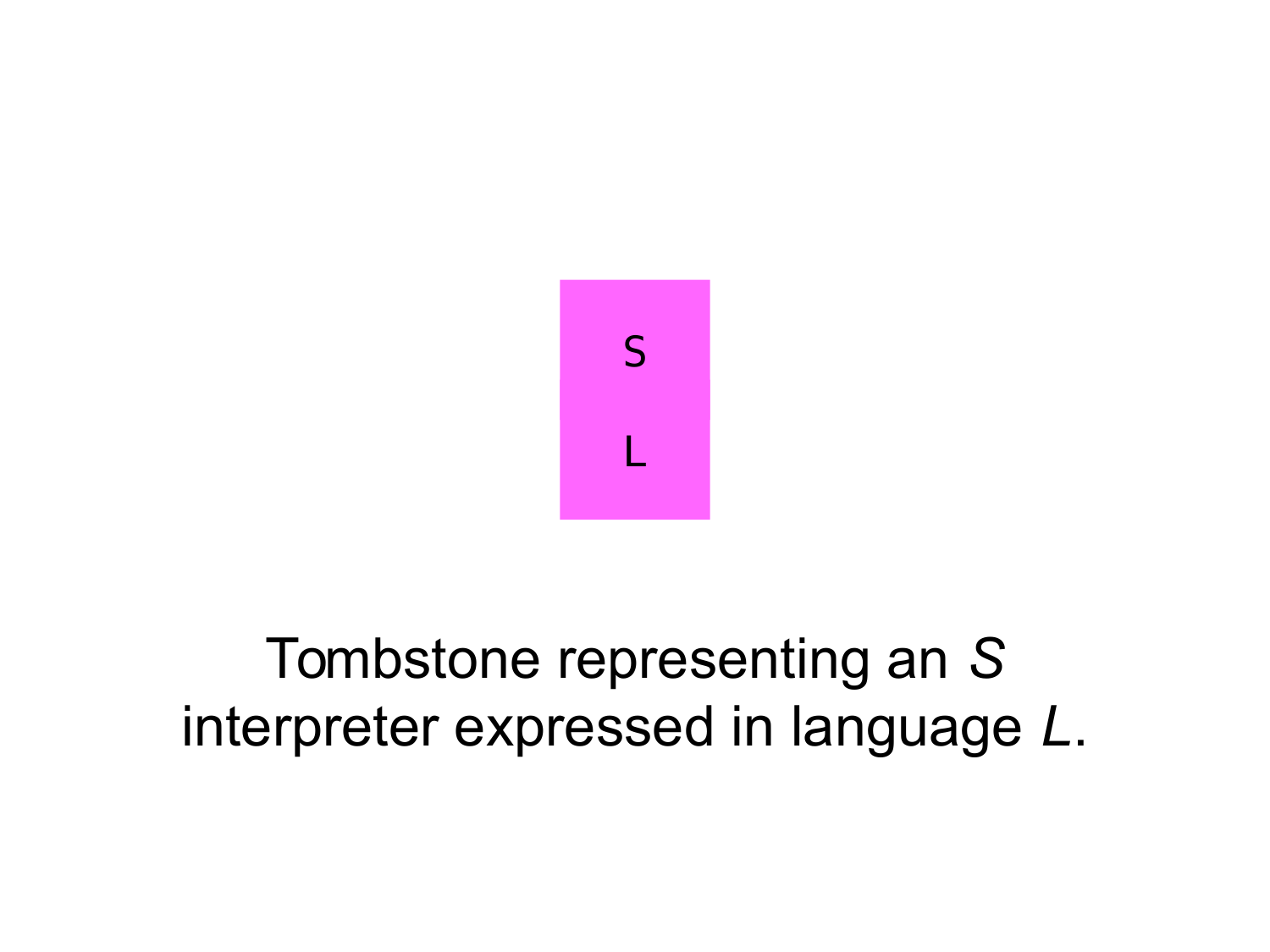

#### Tombstone representing an *S* interpreter expressed in language *L*.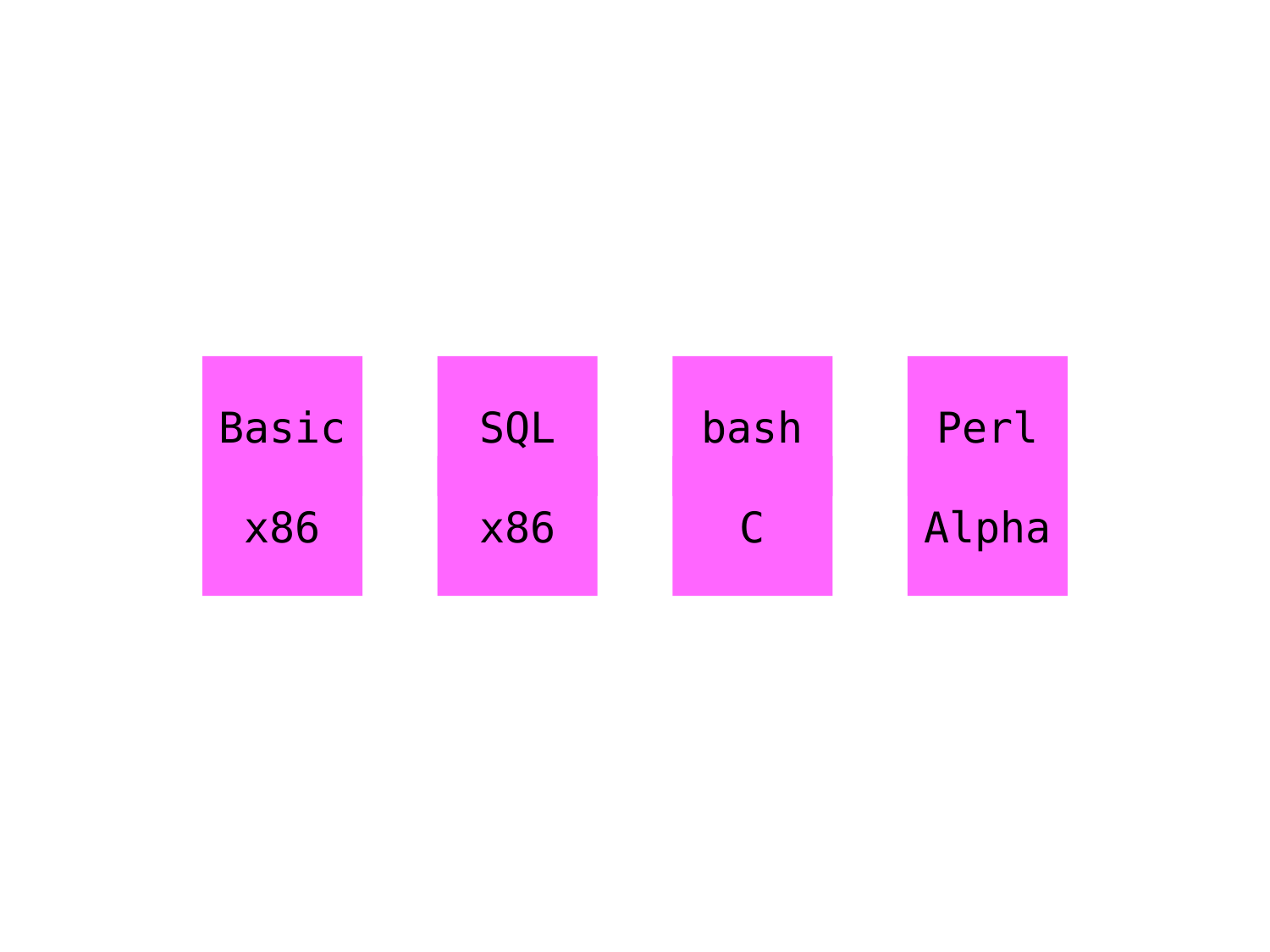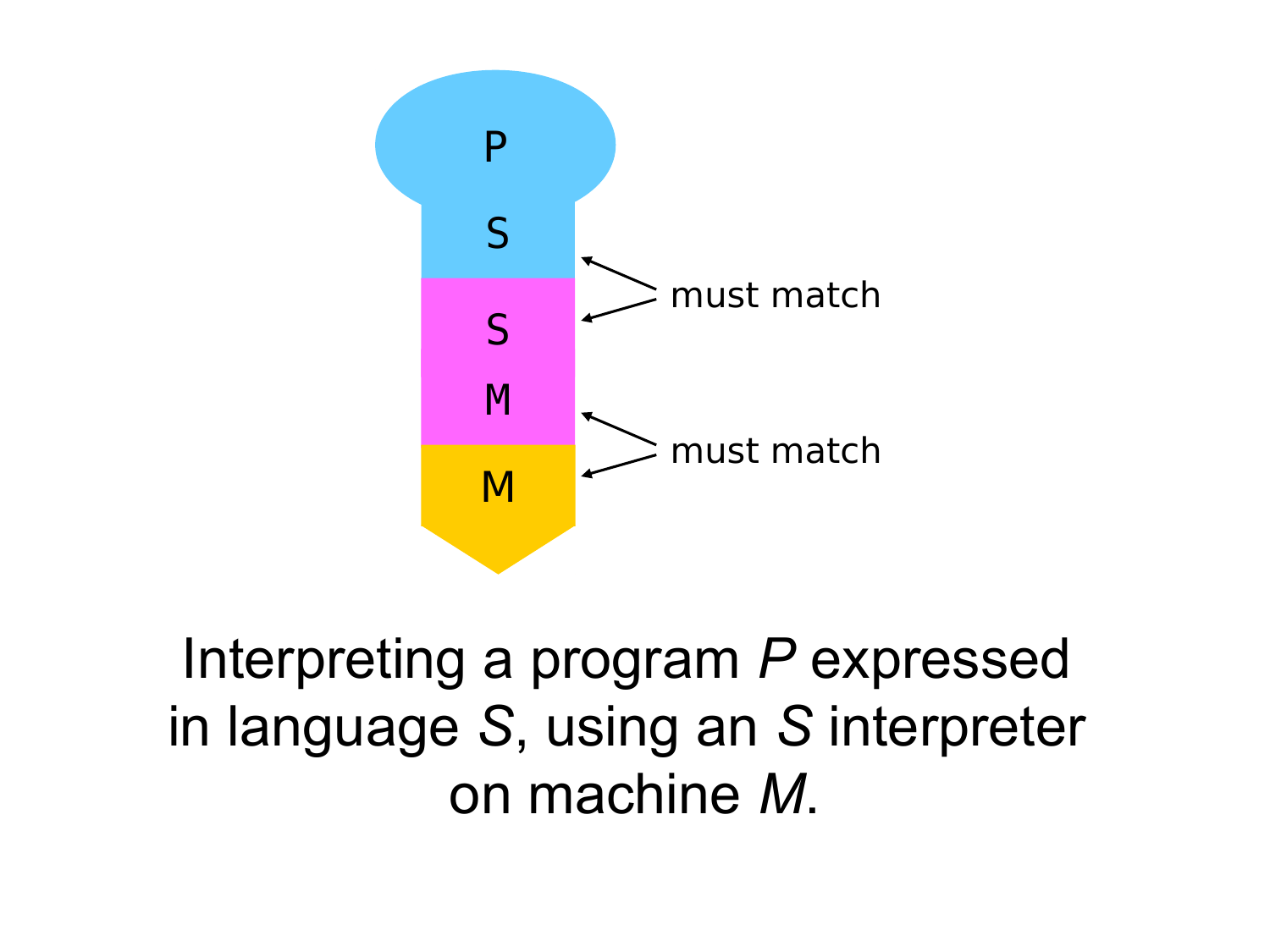

Interpreting a program *P* expressed in language *S*, using an *S* interpreter on machine *M*.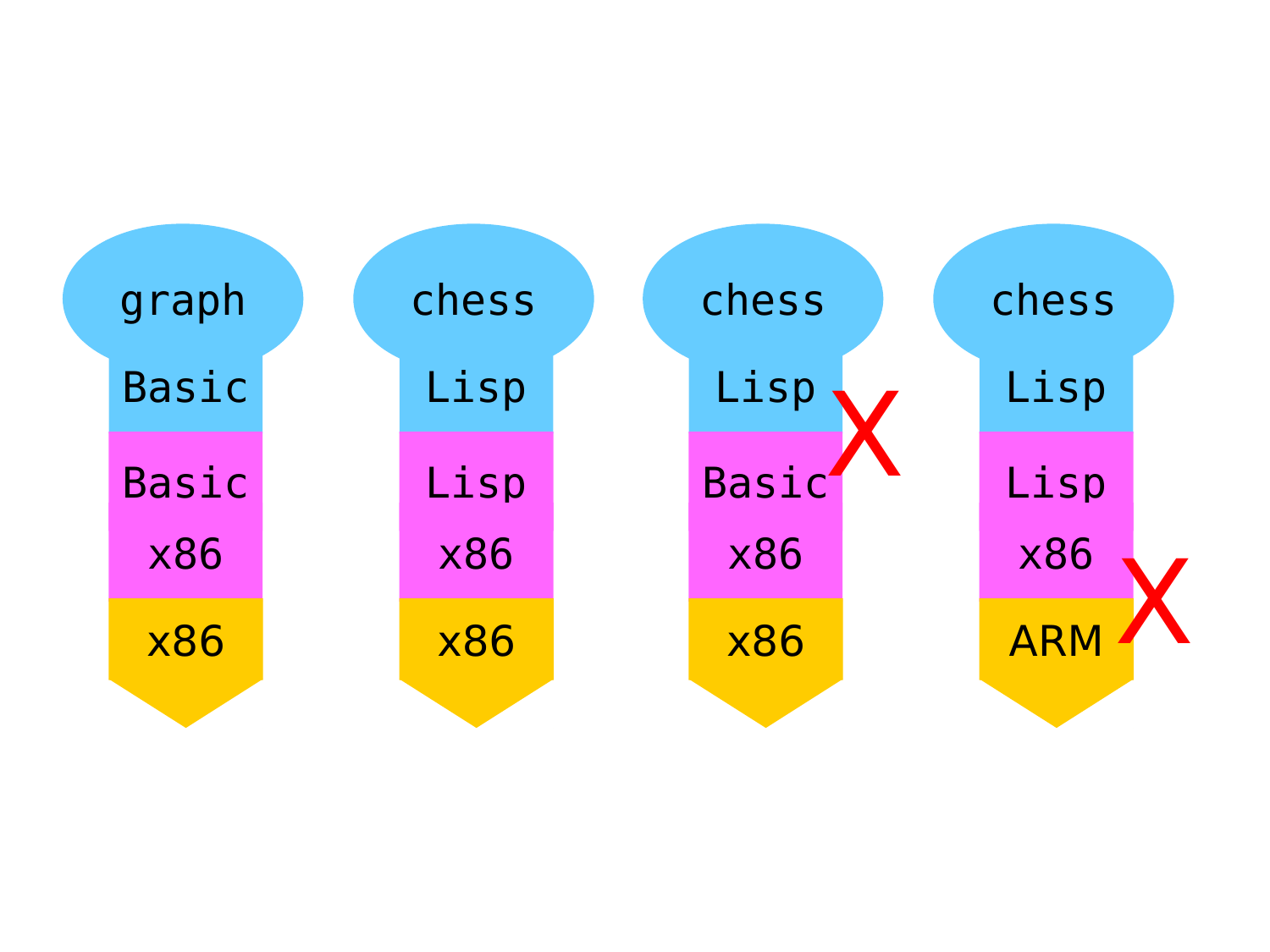| graph        | chess      | chess        | chess      |  |
|--------------|------------|--------------|------------|--|
| <b>Basic</b> | Lisp       | Lisp         | Lisp       |  |
| <b>Basic</b> | Lisp       | <b>Basic</b> | Lisp       |  |
| <b>x86</b>   | <b>x86</b> | <b>x86</b>   | <b>x86</b> |  |
| <b>x86</b>   | <b>x86</b> | <b>x86</b>   | <b>ARM</b> |  |
|              |            |              |            |  |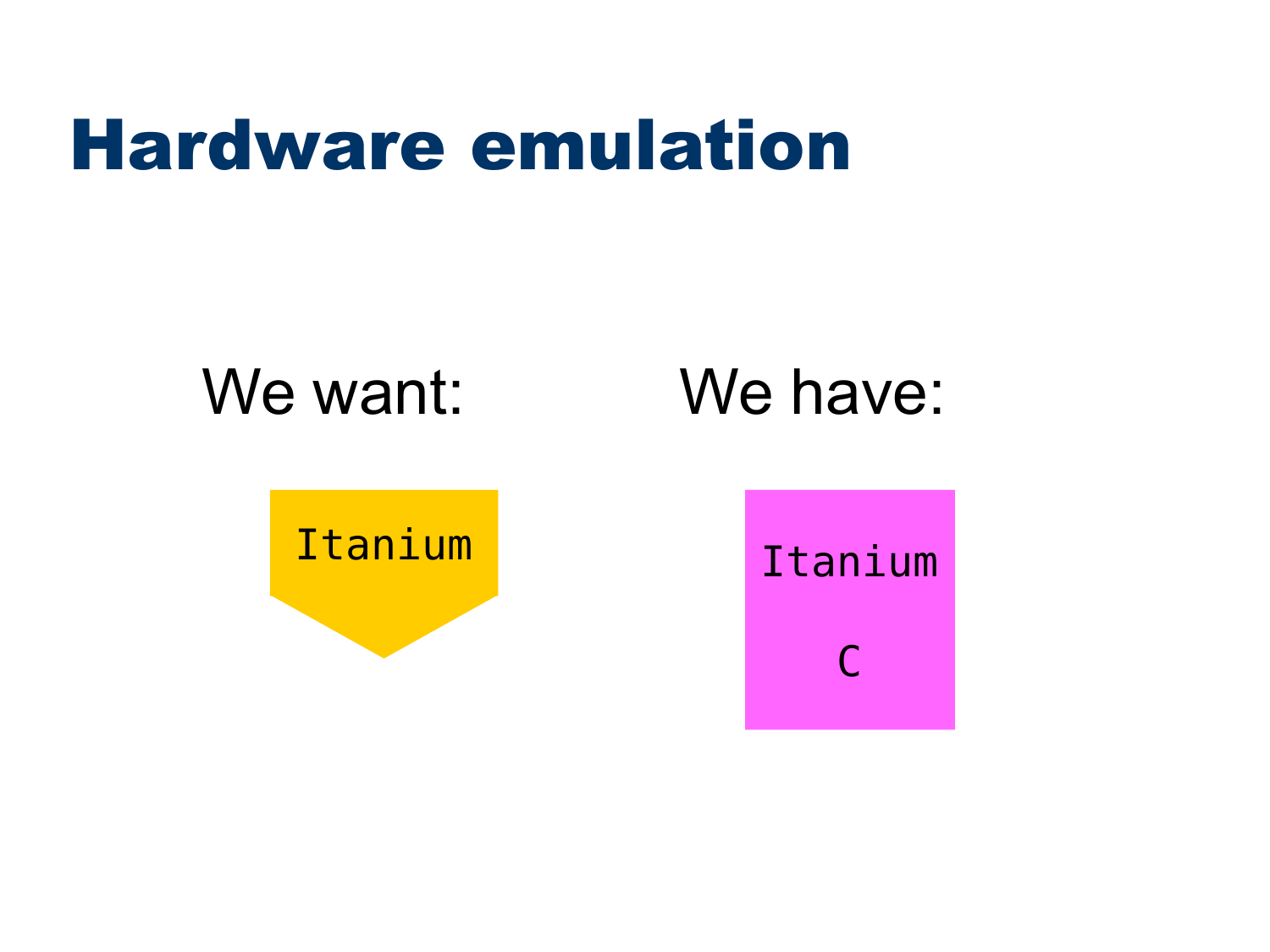## Hardware emulation

## We want: We have:

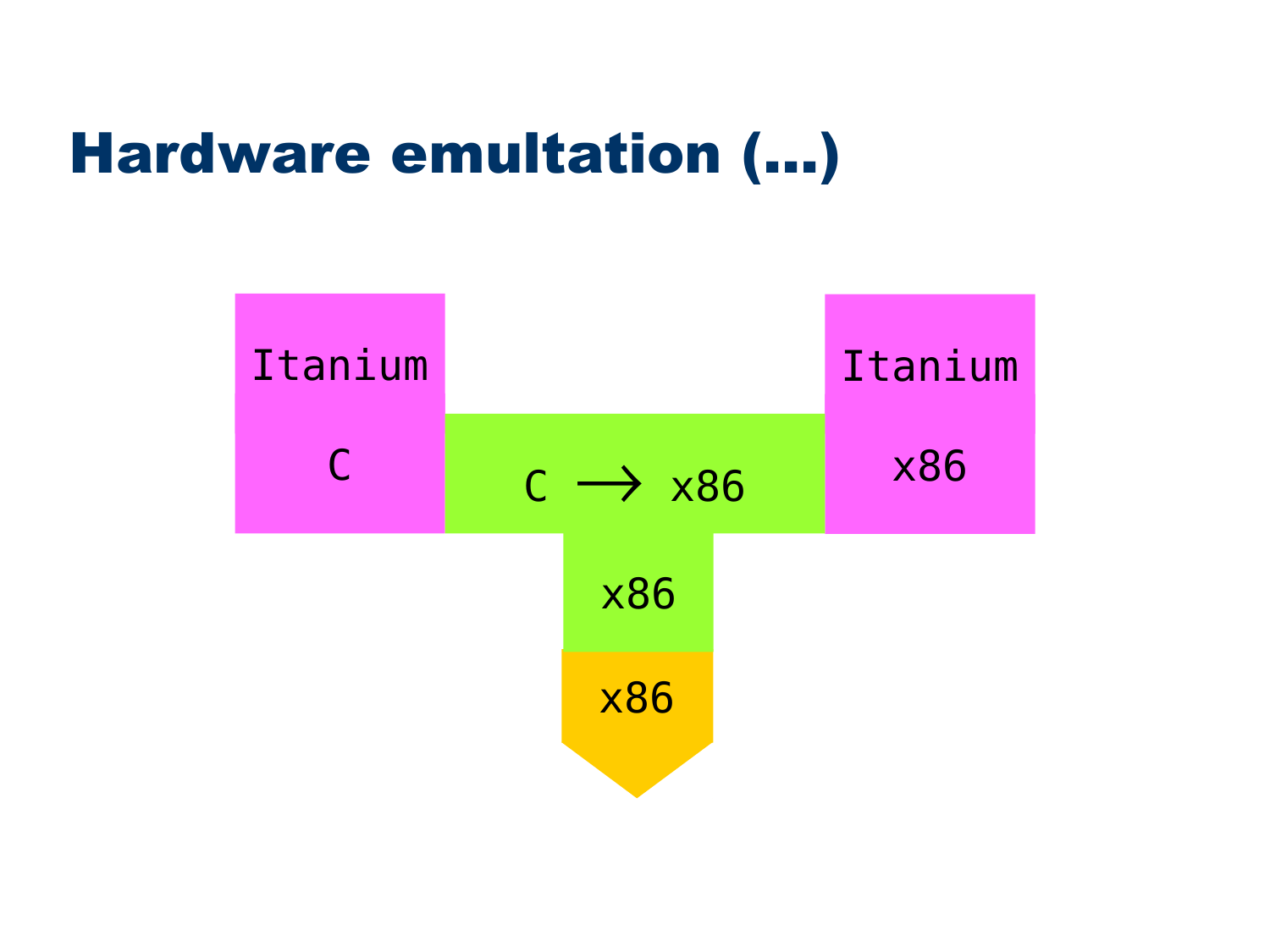#### Hardware emultation (...)

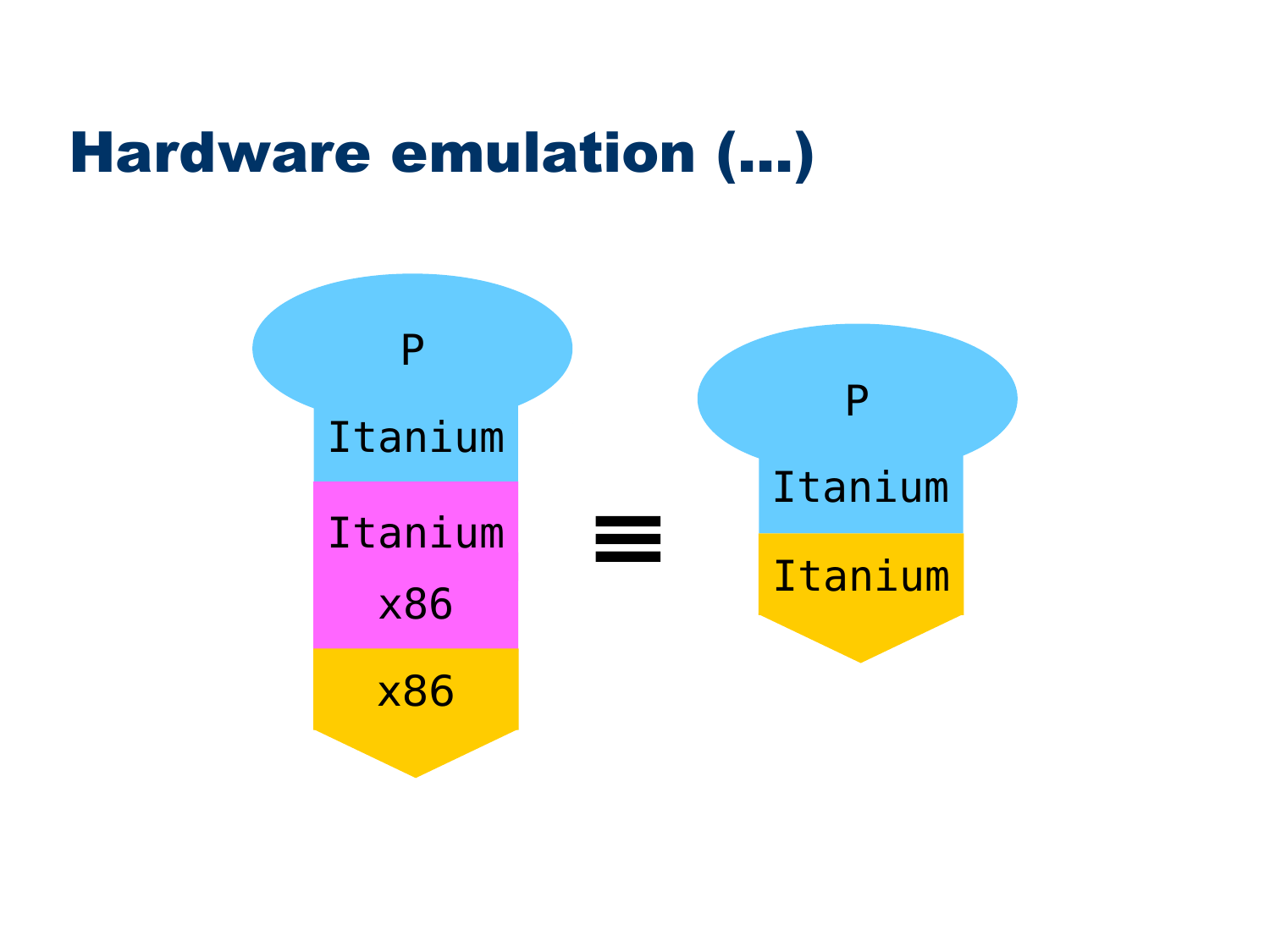#### Hardware emulation (...)

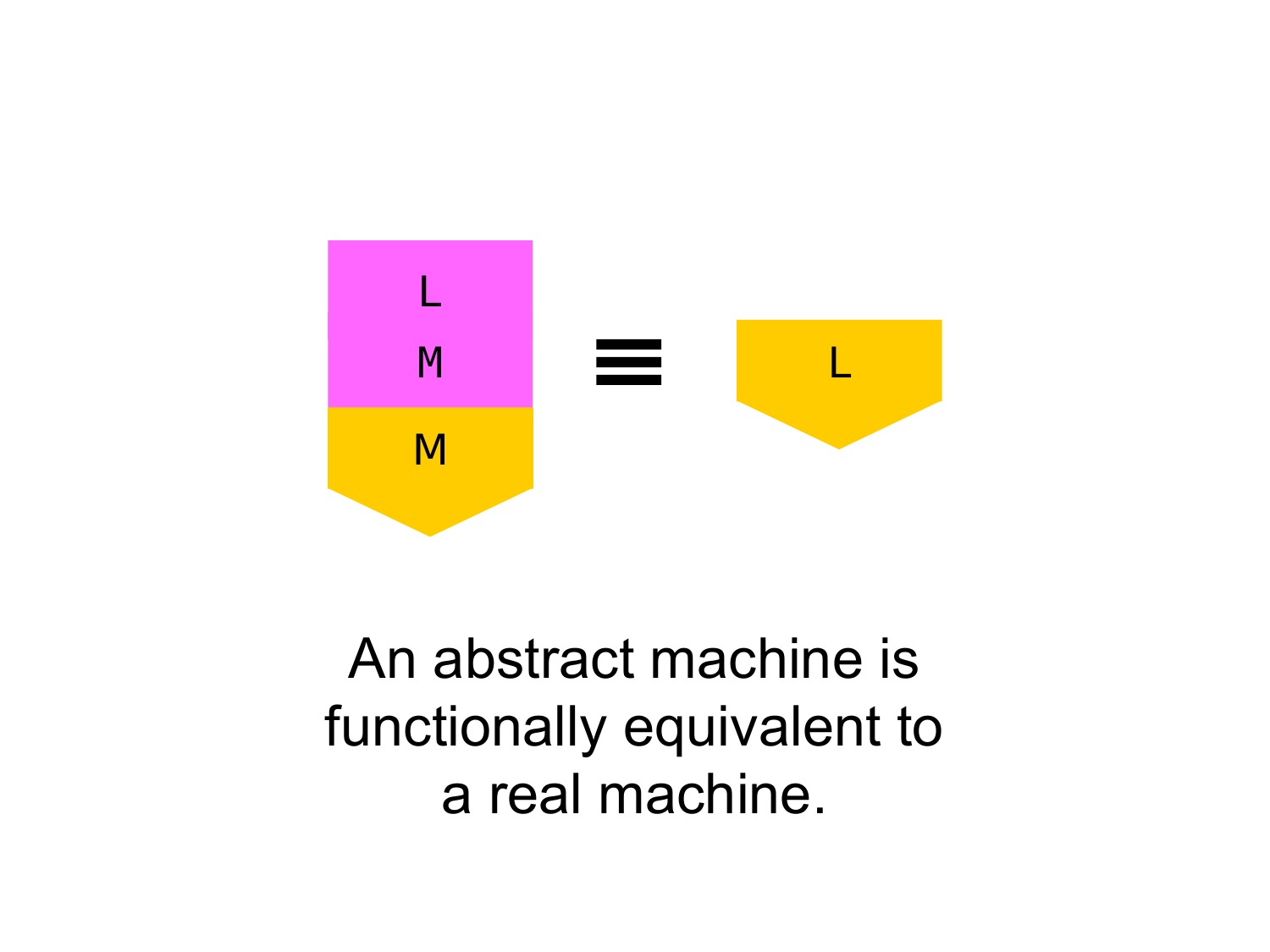

An abstract machine is functionally equivalent to a real machine.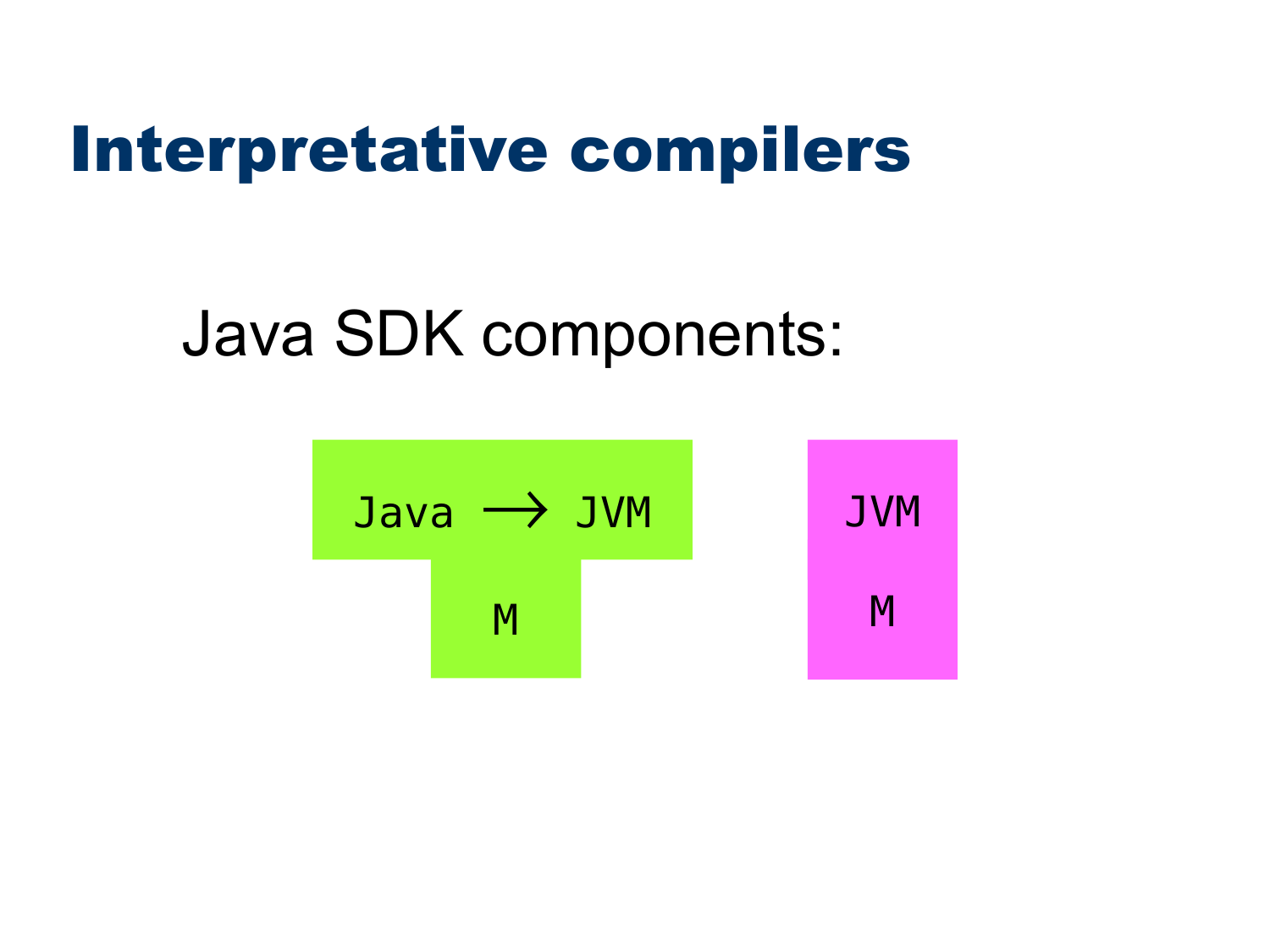### Interpretative compilers

## Java SDK components:

$$
Java \rightarrow JVM
$$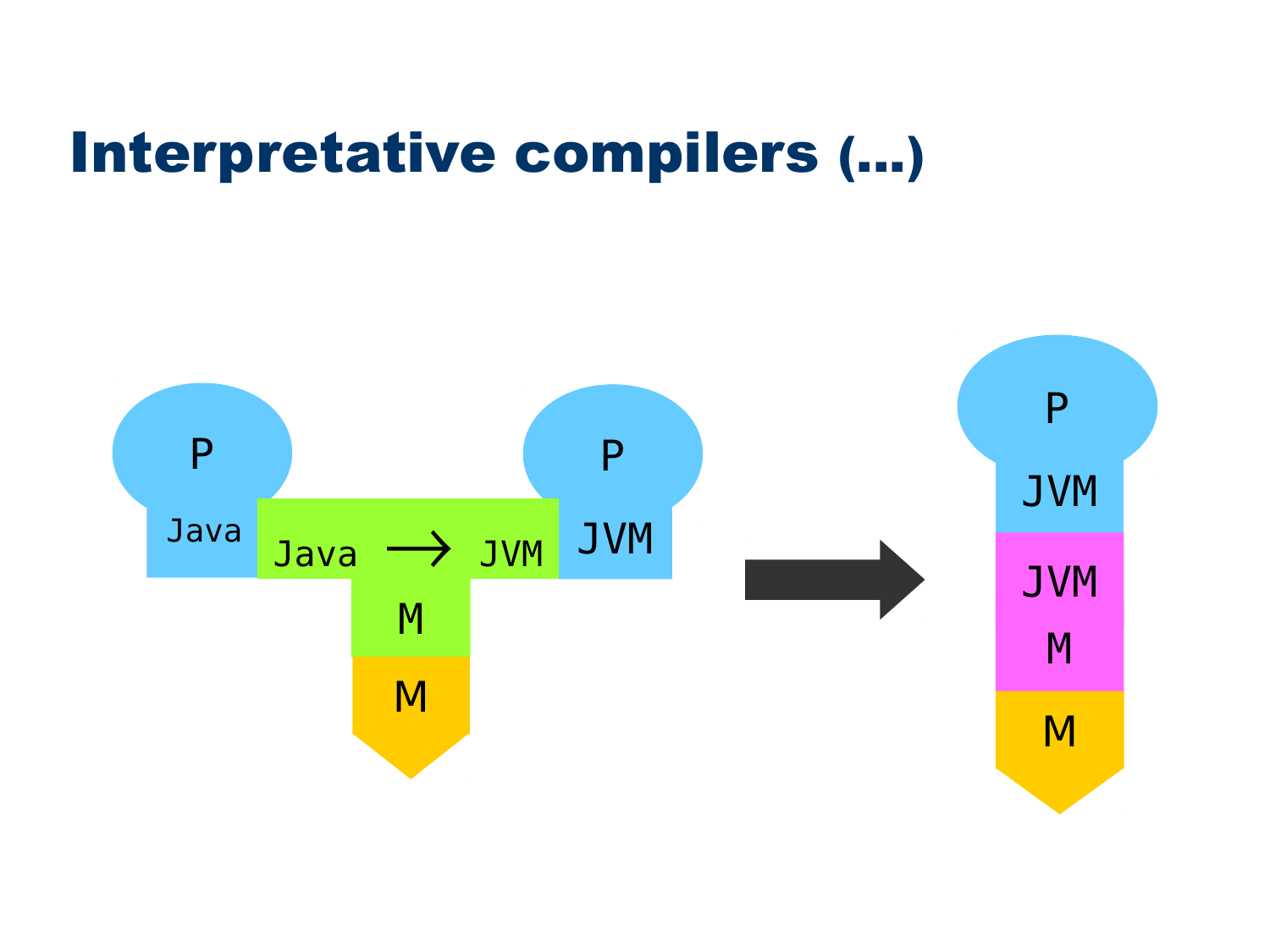#### Interpretative compilers (...)